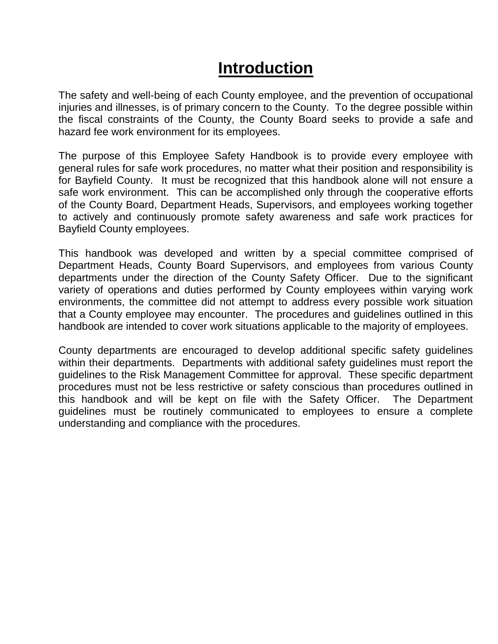# **Introduction**

The safety and well-being of each County employee, and the prevention of occupational injuries and illnesses, is of primary concern to the County. To the degree possible within the fiscal constraints of the County, the County Board seeks to provide a safe and hazard fee work environment for its employees.

The purpose of this Employee Safety Handbook is to provide every employee with general rules for safe work procedures, no matter what their position and responsibility is for Bayfield County. It must be recognized that this handbook alone will not ensure a safe work environment. This can be accomplished only through the cooperative efforts of the County Board, Department Heads, Supervisors, and employees working together to actively and continuously promote safety awareness and safe work practices for Bayfield County employees.

This handbook was developed and written by a special committee comprised of Department Heads, County Board Supervisors, and employees from various County departments under the direction of the County Safety Officer. Due to the significant variety of operations and duties performed by County employees within varying work environments, the committee did not attempt to address every possible work situation that a County employee may encounter. The procedures and guidelines outlined in this handbook are intended to cover work situations applicable to the majority of employees.

County departments are encouraged to develop additional specific safety guidelines within their departments. Departments with additional safety guidelines must report the guidelines to the Risk Management Committee for approval. These specific department procedures must not be less restrictive or safety conscious than procedures outlined in this handbook and will be kept on file with the Safety Officer. The Department guidelines must be routinely communicated to employees to ensure a complete understanding and compliance with the procedures.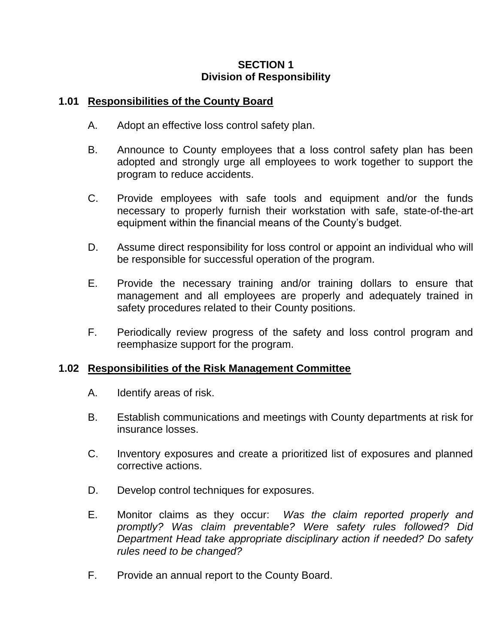# **SECTION 1 Division of Responsibility**

#### **1.01 Responsibilities of the County Board**

- A. Adopt an effective loss control safety plan.
- B. Announce to County employees that a loss control safety plan has been adopted and strongly urge all employees to work together to support the program to reduce accidents.
- C. Provide employees with safe tools and equipment and/or the funds necessary to properly furnish their workstation with safe, state-of-the-art equipment within the financial means of the County's budget.
- D. Assume direct responsibility for loss control or appoint an individual who will be responsible for successful operation of the program.
- E. Provide the necessary training and/or training dollars to ensure that management and all employees are properly and adequately trained in safety procedures related to their County positions.
- F. Periodically review progress of the safety and loss control program and reemphasize support for the program.

# **1.02 Responsibilities of the Risk Management Committee**

- A. Identify areas of risk.
- B. Establish communications and meetings with County departments at risk for insurance losses.
- C. Inventory exposures and create a prioritized list of exposures and planned corrective actions.
- D. Develop control techniques for exposures.
- E. Monitor claims as they occur: *Was the claim reported properly and promptly? Was claim preventable? Were safety rules followed? Did Department Head take appropriate disciplinary action if needed? Do safety rules need to be changed?*
- F. Provide an annual report to the County Board.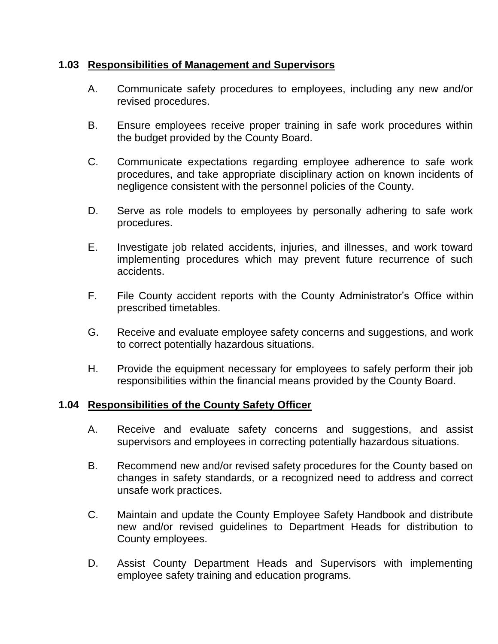## **1.03 Responsibilities of Management and Supervisors**

- A. Communicate safety procedures to employees, including any new and/or revised procedures.
- B. Ensure employees receive proper training in safe work procedures within the budget provided by the County Board.
- C. Communicate expectations regarding employee adherence to safe work procedures, and take appropriate disciplinary action on known incidents of negligence consistent with the personnel policies of the County.
- D. Serve as role models to employees by personally adhering to safe work procedures.
- E. Investigate job related accidents, injuries, and illnesses, and work toward implementing procedures which may prevent future recurrence of such accidents.
- F. File County accident reports with the County Administrator's Office within prescribed timetables.
- G. Receive and evaluate employee safety concerns and suggestions, and work to correct potentially hazardous situations.
- H. Provide the equipment necessary for employees to safely perform their job responsibilities within the financial means provided by the County Board.

#### **1.04 Responsibilities of the County Safety Officer**

- A. Receive and evaluate safety concerns and suggestions, and assist supervisors and employees in correcting potentially hazardous situations.
- B. Recommend new and/or revised safety procedures for the County based on changes in safety standards, or a recognized need to address and correct unsafe work practices.
- C. Maintain and update the County Employee Safety Handbook and distribute new and/or revised guidelines to Department Heads for distribution to County employees.
- D. Assist County Department Heads and Supervisors with implementing employee safety training and education programs.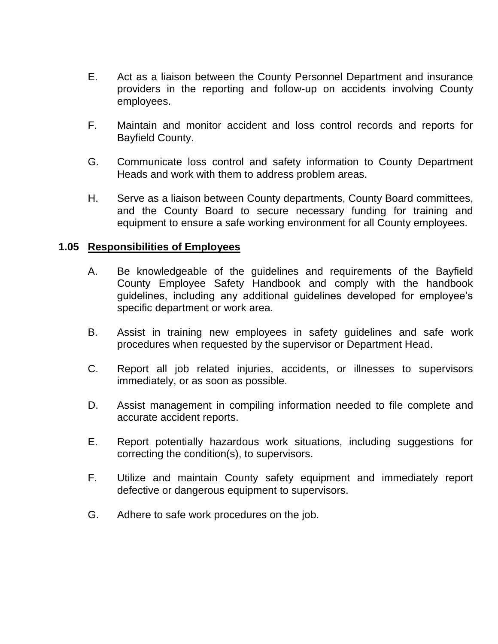- E. Act as a liaison between the County Personnel Department and insurance providers in the reporting and follow-up on accidents involving County employees.
- F. Maintain and monitor accident and loss control records and reports for Bayfield County.
- G. Communicate loss control and safety information to County Department Heads and work with them to address problem areas.
- H. Serve as a liaison between County departments, County Board committees, and the County Board to secure necessary funding for training and equipment to ensure a safe working environment for all County employees.

#### **1.05 Responsibilities of Employees**

- A. Be knowledgeable of the guidelines and requirements of the Bayfield County Employee Safety Handbook and comply with the handbook guidelines, including any additional guidelines developed for employee's specific department or work area.
- B. Assist in training new employees in safety guidelines and safe work procedures when requested by the supervisor or Department Head.
- C. Report all job related injuries, accidents, or illnesses to supervisors immediately, or as soon as possible.
- D. Assist management in compiling information needed to file complete and accurate accident reports.
- E. Report potentially hazardous work situations, including suggestions for correcting the condition(s), to supervisors.
- F. Utilize and maintain County safety equipment and immediately report defective or dangerous equipment to supervisors.
- G. Adhere to safe work procedures on the job.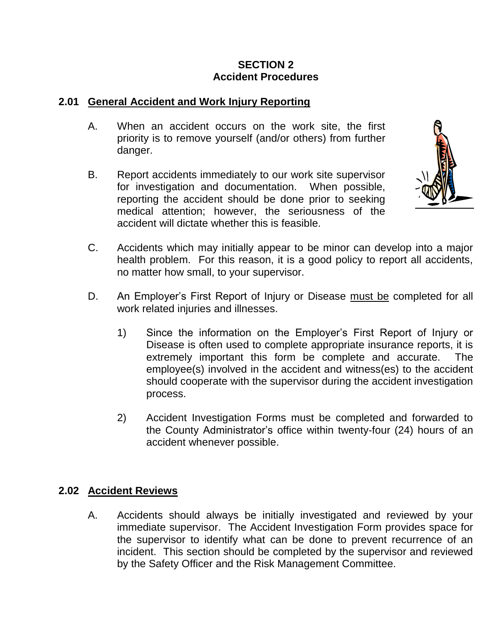# **SECTION 2 Accident Procedures**

#### **2.01 General Accident and Work Injury Reporting**

- A. When an accident occurs on the work site, the first priority is to remove yourself (and/or others) from further danger.
- B. Report accidents immediately to our work site supervisor for investigation and documentation. When possible, reporting the accident should be done prior to seeking medical attention; however, the seriousness of the accident will dictate whether this is feasible.



- C. Accidents which may initially appear to be minor can develop into a major health problem. For this reason, it is a good policy to report all accidents, no matter how small, to your supervisor.
- D. An Employer's First Report of Injury or Disease must be completed for all work related injuries and illnesses.
	- 1) Since the information on the Employer's First Report of Injury or Disease is often used to complete appropriate insurance reports, it is extremely important this form be complete and accurate. The employee(s) involved in the accident and witness(es) to the accident should cooperate with the supervisor during the accident investigation process.
	- 2) Accident Investigation Forms must be completed and forwarded to the County Administrator's office within twenty-four (24) hours of an accident whenever possible.

#### **2.02 Accident Reviews**

A. Accidents should always be initially investigated and reviewed by your immediate supervisor. The Accident Investigation Form provides space for the supervisor to identify what can be done to prevent recurrence of an incident. This section should be completed by the supervisor and reviewed by the Safety Officer and the Risk Management Committee.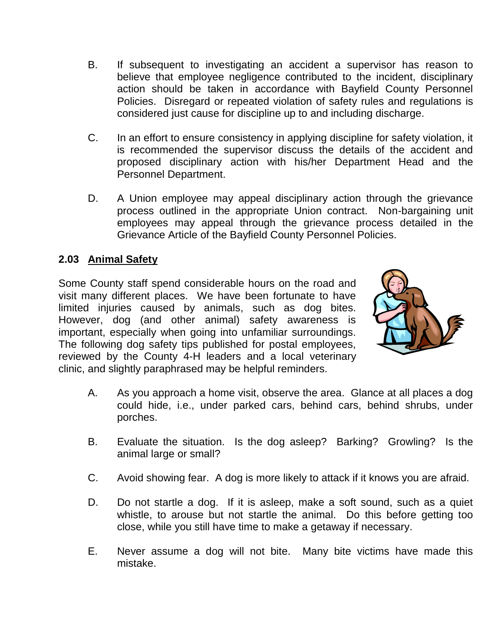- B. If subsequent to investigating an accident a supervisor has reason to believe that employee negligence contributed to the incident, disciplinary action should be taken in accordance with Bayfield County Personnel Policies. Disregard or repeated violation of safety rules and regulations is considered just cause for discipline up to and including discharge.
- C. In an effort to ensure consistency in applying discipline for safety violation, it is recommended the supervisor discuss the details of the accident and proposed disciplinary action with his/her Department Head and the Personnel Department.
- D. A Union employee may appeal disciplinary action through the grievance process outlined in the appropriate Union contract. Non-bargaining unit employees may appeal through the grievance process detailed in the Grievance Article of the Bayfield County Personnel Policies.

# **2.03 Animal Safety**

Some County staff spend considerable hours on the road and visit many different places. We have been fortunate to have limited injuries caused by animals, such as dog bites. However, dog (and other animal) safety awareness is important, especially when going into unfamiliar surroundings. The following dog safety tips published for postal employees, reviewed by the County 4-H leaders and a local veterinary clinic, and slightly paraphrased may be helpful reminders.



- A. As you approach a home visit, observe the area. Glance at all places a dog could hide, i.e., under parked cars, behind cars, behind shrubs, under porches.
- B. Evaluate the situation. Is the dog asleep? Barking? Growling? Is the animal large or small?
- C. Avoid showing fear. A dog is more likely to attack if it knows you are afraid.
- D. Do not startle a dog. If it is asleep, make a soft sound, such as a quiet whistle, to arouse but not startle the animal. Do this before getting too close, while you still have time to make a getaway if necessary.
- E. Never assume a dog will not bite. Many bite victims have made this mistake.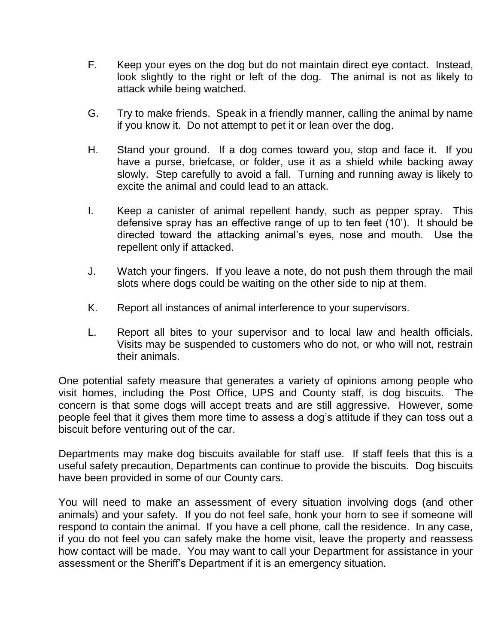- F. Keep your eyes on the dog but do not maintain direct eye contact. Instead, look slightly to the right or left of the dog. The animal is not as likely to attack while being watched.
- G. Try to make friends. Speak in a friendly manner, calling the animal by name if you know it. Do not attempt to pet it or lean over the dog.
- H. Stand your ground. If a dog comes toward you, stop and face it. If you have a purse, briefcase, or folder, use it as a shield while backing away slowly. Step carefully to avoid a fall. Turning and running away is likely to excite the animal and could lead to an attack.
- I. Keep a canister of animal repellent handy, such as pepper spray. This defensive spray has an effective range of up to ten feet (10'). It should be directed toward the attacking animal's eyes, nose and mouth. Use the repellent only if attacked.
- J. Watch your fingers. If you leave a note, do not push them through the mail slots where dogs could be waiting on the other side to nip at them.
- K. Report all instances of animal interference to your supervisors.
- L. Report all bites to your supervisor and to local law and health officials. Visits may be suspended to customers who do not, or who will not, restrain their animals.

One potential safety measure that generates a variety of opinions among people who visit homes, including the Post Office, UPS and County staff, is dog biscuits. The concern is that some dogs will accept treats and are still aggressive. However, some people feel that it gives them more time to assess a dog's attitude if they can toss out a biscuit before venturing out of the car.

Departments may make dog biscuits available for staff use. If staff feels that this is a useful safety precaution, Departments can continue to provide the biscuits. Dog biscuits have been provided in some of our County cars.

You will need to make an assessment of every situation involving dogs (and other animals) and your safety. If you do not feel safe, honk your horn to see if someone will respond to contain the animal. If you have a cell phone, call the residence. In any case, if you do not feel you can safely make the home visit, leave the property and reassess how contact will be made. You may want to call your Department for assistance in your assessment or the Sheriff's Department if it is an emergency situation.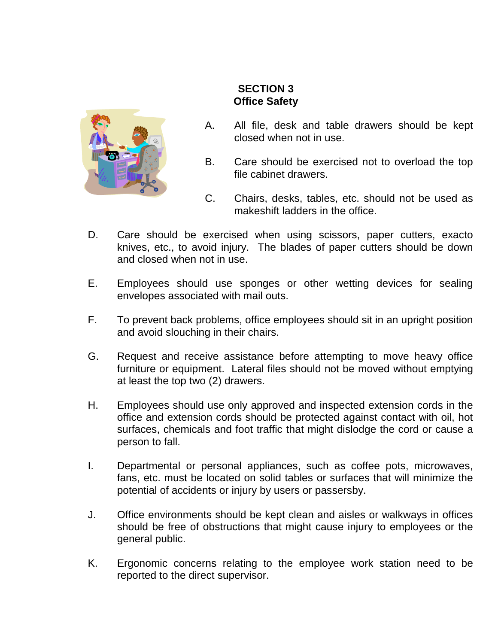

# **SECTION 3 Office Safety**

- A. All file, desk and table drawers should be kept closed when not in use.
- B. Care should be exercised not to overload the top file cabinet drawers.
- C. Chairs, desks, tables, etc. should not be used as makeshift ladders in the office.
- D. Care should be exercised when using scissors, paper cutters, exacto knives, etc., to avoid injury. The blades of paper cutters should be down and closed when not in use.
- E. Employees should use sponges or other wetting devices for sealing envelopes associated with mail outs.
- F. To prevent back problems, office employees should sit in an upright position and avoid slouching in their chairs.
- G. Request and receive assistance before attempting to move heavy office furniture or equipment. Lateral files should not be moved without emptying at least the top two (2) drawers.
- H. Employees should use only approved and inspected extension cords in the office and extension cords should be protected against contact with oil, hot surfaces, chemicals and foot traffic that might dislodge the cord or cause a person to fall.
- I. Departmental or personal appliances, such as coffee pots, microwaves, fans, etc. must be located on solid tables or surfaces that will minimize the potential of accidents or injury by users or passersby.
- J. Office environments should be kept clean and aisles or walkways in offices should be free of obstructions that might cause injury to employees or the general public.
- K. Ergonomic concerns relating to the employee work station need to be reported to the direct supervisor.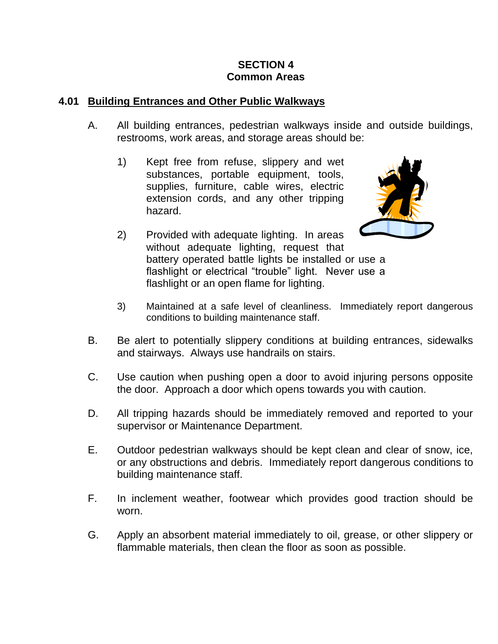# **SECTION 4 Common Areas**

#### **4.01 Building Entrances and Other Public Walkways**

- A. All building entrances, pedestrian walkways inside and outside buildings, restrooms, work areas, and storage areas should be:
	- 1) Kept free from refuse, slippery and wet substances, portable equipment, tools, supplies, furniture, cable wires, electric extension cords, and any other tripping hazard.



- 2) Provided with adequate lighting. In areas without adequate lighting, request that battery operated battle lights be installed or use a flashlight or electrical "trouble" light. Never use a flashlight or an open flame for lighting.
- 3) Maintained at a safe level of cleanliness. Immediately report dangerous conditions to building maintenance staff.
- B. Be alert to potentially slippery conditions at building entrances, sidewalks and stairways. Always use handrails on stairs.
- C. Use caution when pushing open a door to avoid injuring persons opposite the door. Approach a door which opens towards you with caution.
- D. All tripping hazards should be immediately removed and reported to your supervisor or Maintenance Department.
- E. Outdoor pedestrian walkways should be kept clean and clear of snow, ice, or any obstructions and debris. Immediately report dangerous conditions to building maintenance staff.
- F. In inclement weather, footwear which provides good traction should be worn.
- G. Apply an absorbent material immediately to oil, grease, or other slippery or flammable materials, then clean the floor as soon as possible.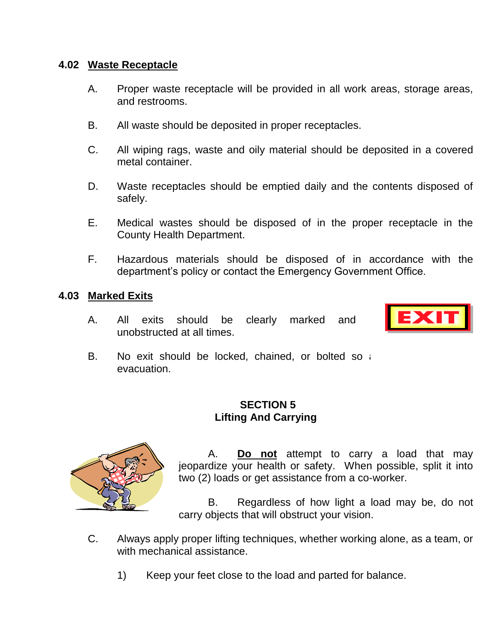#### **4.02 Waste Receptacle**

- A. Proper waste receptacle will be provided in all work areas, storage areas, and restrooms.
- B. All waste should be deposited in proper receptacles.
- C. All wiping rags, waste and oily material should be deposited in a covered metal container.
- D. Waste receptacles should be emptied daily and the contents disposed of safely.
- E. Medical wastes should be disposed of in the proper receptacle in the County Health Department.
- F. Hazardous materials should be disposed of in accordance with the department's policy or contact the Emergency Government Office.

#### **4.03 Marked Exits**

A. All exits should be clearly marked and unobstructed at all times.



B. No exit should be locked, chained, or bolted so  $i$ evacuation.

# **SECTION 5 Lifting And Carrying**



A. **Do not** attempt to carry a load that may jeopardize your health or safety. When possible, split it into two (2) loads or get assistance from a co-worker.

B. Regardless of how light a load may be, do not carry objects that will obstruct your vision.

- C. Always apply proper lifting techniques, whether working alone, as a team, or with mechanical assistance.
	- 1) Keep your feet close to the load and parted for balance.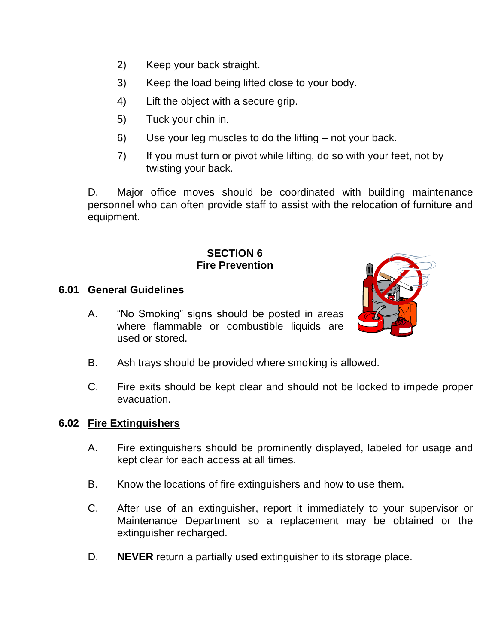- 2) Keep your back straight.
- 3) Keep the load being lifted close to your body.
- 4) Lift the object with a secure grip.
- 5) Tuck your chin in.
- 6) Use your leg muscles to do the lifting not your back.
- 7) If you must turn or pivot while lifting, do so with your feet, not by twisting your back.

D. Major office moves should be coordinated with building maintenance personnel who can often provide staff to assist with the relocation of furniture and equipment.

#### **SECTION 6 Fire Prevention**

# **6.01 General Guidelines**

A. "No Smoking" signs should be posted in areas where flammable or combustible liquids are used or stored.



- B. Ash trays should be provided where smoking is allowed.
- C. Fire exits should be kept clear and should not be locked to impede proper evacuation.

#### **6.02 Fire Extinguishers**

- A. Fire extinguishers should be prominently displayed, labeled for usage and kept clear for each access at all times.
- B. Know the locations of fire extinguishers and how to use them.
- C. After use of an extinguisher, report it immediately to your supervisor or Maintenance Department so a replacement may be obtained or the extinguisher recharged.
- D. **NEVER** return a partially used extinguisher to its storage place.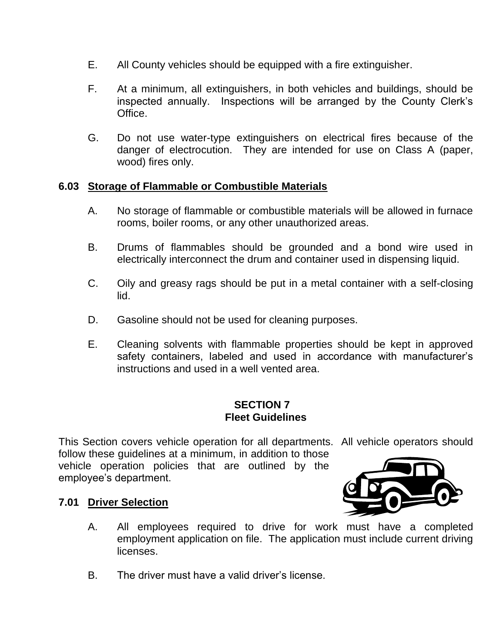- E. All County vehicles should be equipped with a fire extinguisher.
- F. At a minimum, all extinguishers, in both vehicles and buildings, should be inspected annually. Inspections will be arranged by the County Clerk's **Office**
- G. Do not use water-type extinguishers on electrical fires because of the danger of electrocution. They are intended for use on Class A (paper, wood) fires only.

#### **6.03 Storage of Flammable or Combustible Materials**

- A. No storage of flammable or combustible materials will be allowed in furnace rooms, boiler rooms, or any other unauthorized areas.
- B. Drums of flammables should be grounded and a bond wire used in electrically interconnect the drum and container used in dispensing liquid.
- C. Oily and greasy rags should be put in a metal container with a self-closing lid.
- D. Gasoline should not be used for cleaning purposes.
- E. Cleaning solvents with flammable properties should be kept in approved safety containers, labeled and used in accordance with manufacturer's instructions and used in a well vented area.

#### **SECTION 7 Fleet Guidelines**

This Section covers vehicle operation for all departments. All vehicle operators should

follow these quidelines at a minimum, in addition to those vehicle operation policies that are outlined by the employee's department.



# **7.01 Driver Selection**

- A. All employees required to drive for work must have a completed employment application on file. The application must include current driving licenses.
- B. The driver must have a valid driver's license.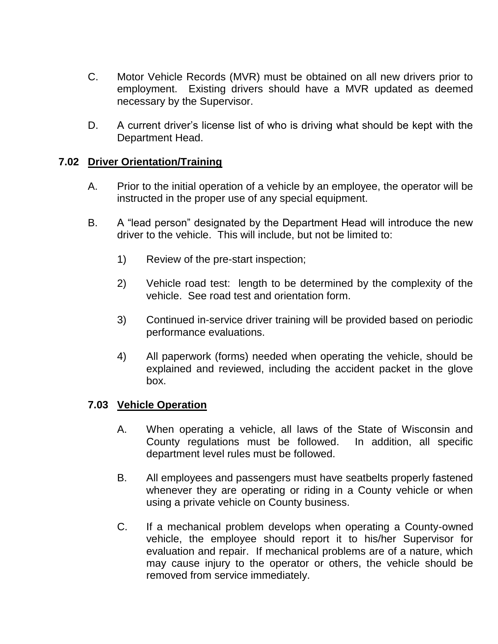- C. Motor Vehicle Records (MVR) must be obtained on all new drivers prior to employment. Existing drivers should have a MVR updated as deemed necessary by the Supervisor.
- D. A current driver's license list of who is driving what should be kept with the Department Head.

#### **7.02 Driver Orientation/Training**

- A. Prior to the initial operation of a vehicle by an employee, the operator will be instructed in the proper use of any special equipment.
- B. A "lead person" designated by the Department Head will introduce the new driver to the vehicle. This will include, but not be limited to:
	- 1) Review of the pre-start inspection;
	- 2) Vehicle road test: length to be determined by the complexity of the vehicle. See road test and orientation form.
	- 3) Continued in-service driver training will be provided based on periodic performance evaluations.
	- 4) All paperwork (forms) needed when operating the vehicle, should be explained and reviewed, including the accident packet in the glove box.

#### **7.03 Vehicle Operation**

- A. When operating a vehicle, all laws of the State of Wisconsin and County regulations must be followed. In addition, all specific department level rules must be followed.
- B. All employees and passengers must have seatbelts properly fastened whenever they are operating or riding in a County vehicle or when using a private vehicle on County business.
- C. If a mechanical problem develops when operating a County-owned vehicle, the employee should report it to his/her Supervisor for evaluation and repair. If mechanical problems are of a nature, which may cause injury to the operator or others, the vehicle should be removed from service immediately.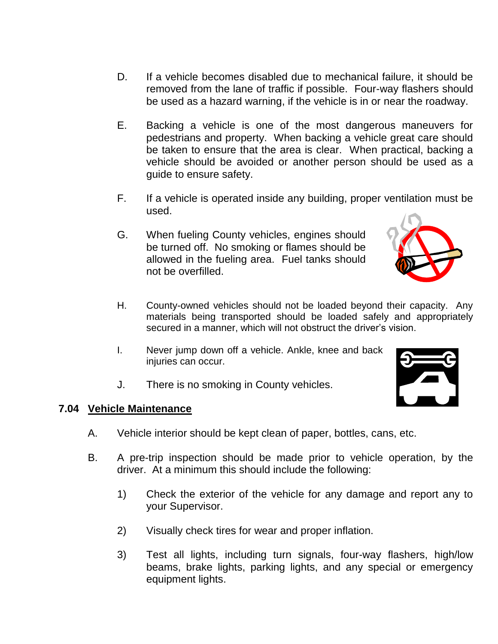- D. If a vehicle becomes disabled due to mechanical failure, it should be removed from the lane of traffic if possible. Four-way flashers should be used as a hazard warning, if the vehicle is in or near the roadway.
- E. Backing a vehicle is one of the most dangerous maneuvers for pedestrians and property. When backing a vehicle great care should be taken to ensure that the area is clear. When practical, backing a vehicle should be avoided or another person should be used as a guide to ensure safety.
- F. If a vehicle is operated inside any building, proper ventilation must be used.
- G. When fueling County vehicles, engines should be turned off. No smoking or flames should be allowed in the fueling area. Fuel tanks should not be overfilled.
- H. County-owned vehicles should not be loaded beyond their capacity. Any materials being transported should be loaded safely and appropriately secured in a manner, which will not obstruct the driver's vision.
- I. Never jump down off a vehicle. Ankle, knee and back injuries can occur.
- J. There is no smoking in County vehicles.

#### **7.04 Vehicle Maintenance**

- A. Vehicle interior should be kept clean of paper, bottles, cans, etc.
- B. A pre-trip inspection should be made prior to vehicle operation, by the driver. At a minimum this should include the following:
	- 1) Check the exterior of the vehicle for any damage and report any to your Supervisor.
	- 2) Visually check tires for wear and proper inflation.
	- 3) Test all lights, including turn signals, four-way flashers, high/low beams, brake lights, parking lights, and any special or emergency equipment lights.

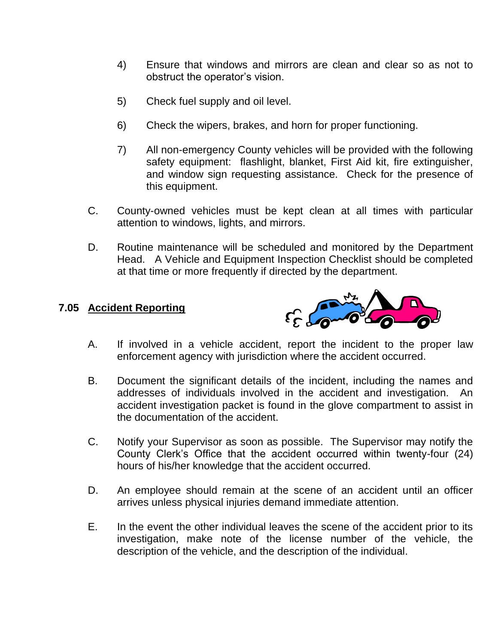- 4) Ensure that windows and mirrors are clean and clear so as not to obstruct the operator's vision.
- 5) Check fuel supply and oil level.
- 6) Check the wipers, brakes, and horn for proper functioning.
- 7) All non-emergency County vehicles will be provided with the following safety equipment: flashlight, blanket, First Aid kit, fire extinguisher, and window sign requesting assistance. Check for the presence of this equipment.
- C. County-owned vehicles must be kept clean at all times with particular attention to windows, lights, and mirrors.
- D. Routine maintenance will be scheduled and monitored by the Department Head. A Vehicle and Equipment Inspection Checklist should be completed at that time or more frequently if directed by the department.

# **7.05 Accident Reporting**



- A. If involved in a vehicle accident, report the incident to the proper law enforcement agency with jurisdiction where the accident occurred.
- B. Document the significant details of the incident, including the names and addresses of individuals involved in the accident and investigation. An accident investigation packet is found in the glove compartment to assist in the documentation of the accident.
- C. Notify your Supervisor as soon as possible. The Supervisor may notify the County Clerk's Office that the accident occurred within twenty-four (24) hours of his/her knowledge that the accident occurred.
- D. An employee should remain at the scene of an accident until an officer arrives unless physical injuries demand immediate attention.
- E. In the event the other individual leaves the scene of the accident prior to its investigation, make note of the license number of the vehicle, the description of the vehicle, and the description of the individual.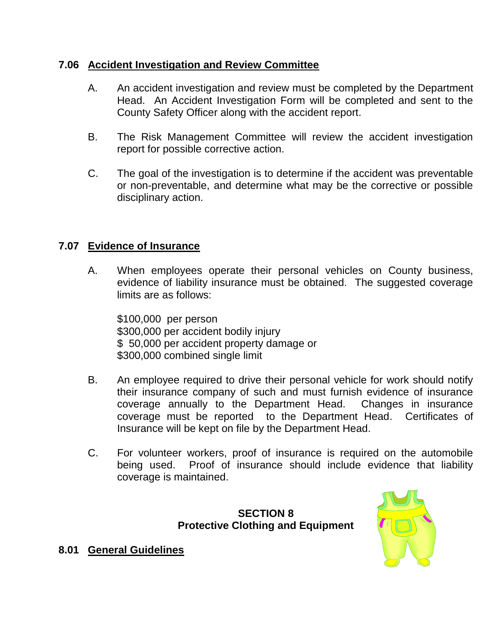## **7.06 Accident Investigation and Review Committee**

- A. An accident investigation and review must be completed by the Department Head. An Accident Investigation Form will be completed and sent to the County Safety Officer along with the accident report.
- B. The Risk Management Committee will review the accident investigation report for possible corrective action.
- C. The goal of the investigation is to determine if the accident was preventable or non-preventable, and determine what may be the corrective or possible disciplinary action.

# **7.07 Evidence of Insurance**

A. When employees operate their personal vehicles on County business, evidence of liability insurance must be obtained. The suggested coverage limits are as follows:

\$100,000 per person \$300,000 per accident bodily injury \$ 50,000 per accident property damage or \$300,000 combined single limit

- B. An employee required to drive their personal vehicle for work should notify their insurance company of such and must furnish evidence of insurance coverage annually to the Department Head. Changes in insurance coverage must be reported to the Department Head. Certificates of Insurance will be kept on file by the Department Head.
- C. For volunteer workers, proof of insurance is required on the automobile being used. Proof of insurance should include evidence that liability coverage is maintained.

# **SECTION 8 Protective Clothing and Equipment**



# **8.01 General Guidelines**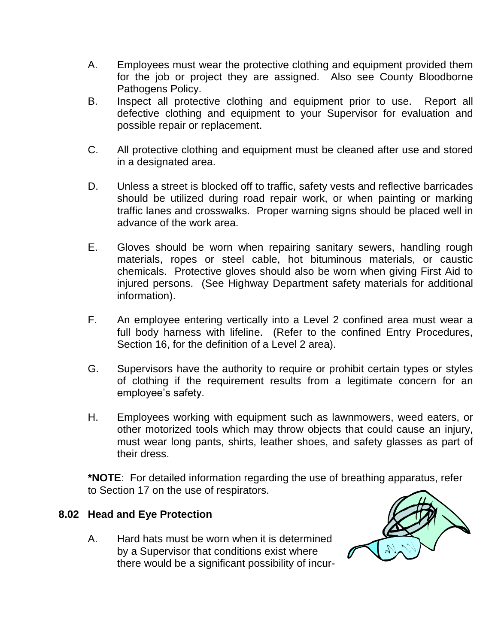- A. Employees must wear the protective clothing and equipment provided them for the job or project they are assigned. Also see County Bloodborne Pathogens Policy.
- B. Inspect all protective clothing and equipment prior to use. Report all defective clothing and equipment to your Supervisor for evaluation and possible repair or replacement.
- C. All protective clothing and equipment must be cleaned after use and stored in a designated area.
- D. Unless a street is blocked off to traffic, safety vests and reflective barricades should be utilized during road repair work, or when painting or marking traffic lanes and crosswalks. Proper warning signs should be placed well in advance of the work area.
- E. Gloves should be worn when repairing sanitary sewers, handling rough materials, ropes or steel cable, hot bituminous materials, or caustic chemicals. Protective gloves should also be worn when giving First Aid to injured persons. (See Highway Department safety materials for additional information).
- F. An employee entering vertically into a Level 2 confined area must wear a full body harness with lifeline. (Refer to the confined Entry Procedures, Section 16, for the definition of a Level 2 area).
- G. Supervisors have the authority to require or prohibit certain types or styles of clothing if the requirement results from a legitimate concern for an employee's safety.
- H. Employees working with equipment such as lawnmowers, weed eaters, or other motorized tools which may throw objects that could cause an injury, must wear long pants, shirts, leather shoes, and safety glasses as part of their dress.

**\*NOTE**: For detailed information regarding the use of breathing apparatus, refer to Section 17 on the use of respirators.

#### **8.02 Head and Eye Protection**

A. Hard hats must be worn when it is determined by a Supervisor that conditions exist where there would be a significant possibility of incur-

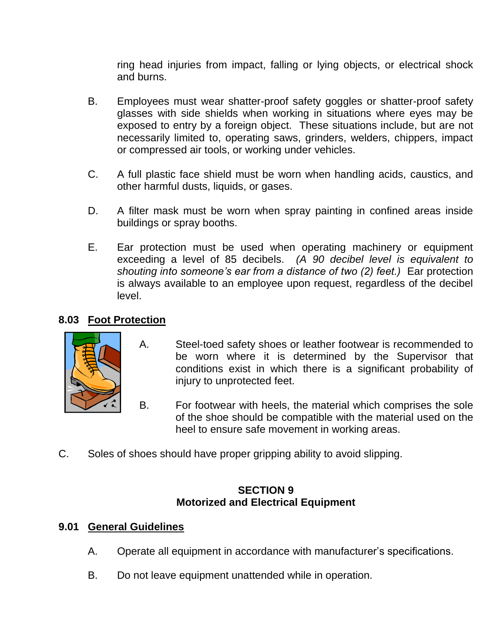ring head injuries from impact, falling or lying objects, or electrical shock and burns.

- B. Employees must wear shatter-proof safety goggles or shatter-proof safety glasses with side shields when working in situations where eyes may be exposed to entry by a foreign object. These situations include, but are not necessarily limited to, operating saws, grinders, welders, chippers, impact or compressed air tools, or working under vehicles.
- C. A full plastic face shield must be worn when handling acids, caustics, and other harmful dusts, liquids, or gases.
- D. A filter mask must be worn when spray painting in confined areas inside buildings or spray booths.
- E. Ear protection must be used when operating machinery or equipment exceeding a level of 85 decibels. *(A 90 decibel level is equivalent to shouting into someone's ear from a distance of two (2) feet.)* Ear protection is always available to an employee upon request, regardless of the decibel level.

# **8.03 Foot Protection**



- A. Steel-toed safety shoes or leather footwear is recommended to be worn where it is determined by the Supervisor that conditions exist in which there is a significant probability of injury to unprotected feet.
- B. For footwear with heels, the material which comprises the sole of the shoe should be compatible with the material used on the heel to ensure safe movement in working areas.
- C. Soles of shoes should have proper gripping ability to avoid slipping.

#### **SECTION 9 Motorized and Electrical Equipment**

# **9.01 General Guidelines**

- A. Operate all equipment in accordance with manufacturer's specifications.
- B. Do not leave equipment unattended while in operation.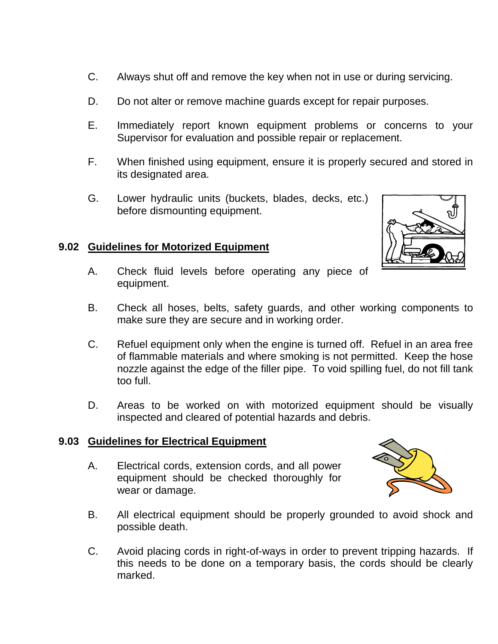- C. Always shut off and remove the key when not in use or during servicing.
- D. Do not alter or remove machine guards except for repair purposes.
- E. Immediately report known equipment problems or concerns to your Supervisor for evaluation and possible repair or replacement.
- F. When finished using equipment, ensure it is properly secured and stored in its designated area.
- G. Lower hydraulic units (buckets, blades, decks, etc.) before dismounting equipment.

# **9.02 Guidelines for Motorized Equipment**



- A. Check fluid levels before operating any piece of equipment.
- B. Check all hoses, belts, safety guards, and other working components to make sure they are secure and in working order.
- C. Refuel equipment only when the engine is turned off. Refuel in an area free of flammable materials and where smoking is not permitted. Keep the hose nozzle against the edge of the filler pipe. To void spilling fuel, do not fill tank too full.
- D. Areas to be worked on with motorized equipment should be visually inspected and cleared of potential hazards and debris.

# **9.03 Guidelines for Electrical Equipment**

A. Electrical cords, extension cords, and all power equipment should be checked thoroughly for wear or damage.



- B. All electrical equipment should be properly grounded to avoid shock and possible death.
- C. Avoid placing cords in right-of-ways in order to prevent tripping hazards. If this needs to be done on a temporary basis, the cords should be clearly marked.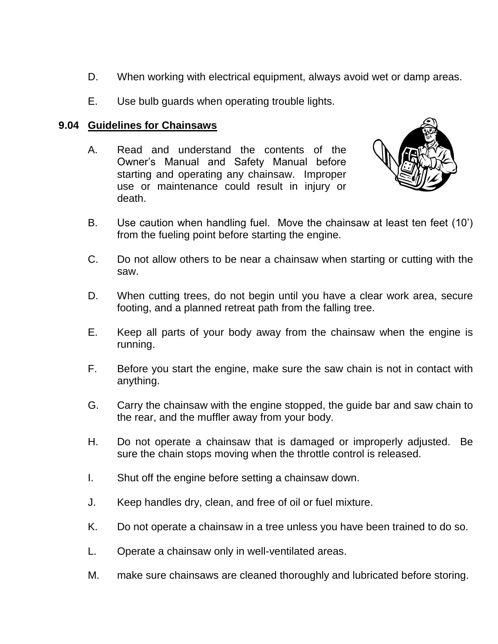- D. When working with electrical equipment, always avoid wet or damp areas.
- E. Use bulb guards when operating trouble lights.

## **9.04 Guidelines for Chainsaws**

A. Read and understand the contents of the Owner's Manual and Safety Manual before starting and operating any chainsaw. Improper use or maintenance could result in injury or death.



- B. Use caution when handling fuel. Move the chainsaw at least ten feet (10') from the fueling point before starting the engine.
- C. Do not allow others to be near a chainsaw when starting or cutting with the saw.
- D. When cutting trees, do not begin until you have a clear work area, secure footing, and a planned retreat path from the falling tree.
- E. Keep all parts of your body away from the chainsaw when the engine is running.
- F. Before you start the engine, make sure the saw chain is not in contact with anything.
- G. Carry the chainsaw with the engine stopped, the guide bar and saw chain to the rear, and the muffler away from your body.
- H. Do not operate a chainsaw that is damaged or improperly adjusted. Be sure the chain stops moving when the throttle control is released.
- I. Shut off the engine before setting a chainsaw down.
- J. Keep handles dry, clean, and free of oil or fuel mixture.
- K. Do not operate a chainsaw in a tree unless you have been trained to do so.
- L. Operate a chainsaw only in well-ventilated areas.
- M. make sure chainsaws are cleaned thoroughly and lubricated before storing.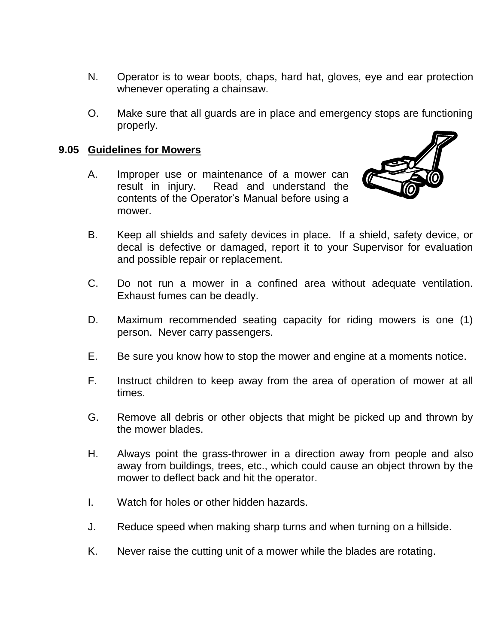- N. Operator is to wear boots, chaps, hard hat, gloves, eye and ear protection whenever operating a chainsaw.
- O. Make sure that all guards are in place and emergency stops are functioning properly.

#### **9.05 Guidelines for Mowers**

A. Improper use or maintenance of a mower can result in injury. Read and understand the contents of the Operator's Manual before using a mower.



- B. Keep all shields and safety devices in place. If a shield, safety device, or decal is defective or damaged, report it to your Supervisor for evaluation and possible repair or replacement.
- C. Do not run a mower in a confined area without adequate ventilation. Exhaust fumes can be deadly.
- D. Maximum recommended seating capacity for riding mowers is one (1) person. Never carry passengers.
- E. Be sure you know how to stop the mower and engine at a moments notice.
- F. Instruct children to keep away from the area of operation of mower at all times.
- G. Remove all debris or other objects that might be picked up and thrown by the mower blades.
- H. Always point the grass-thrower in a direction away from people and also away from buildings, trees, etc., which could cause an object thrown by the mower to deflect back and hit the operator.
- I. Watch for holes or other hidden hazards.
- J. Reduce speed when making sharp turns and when turning on a hillside.
- K. Never raise the cutting unit of a mower while the blades are rotating.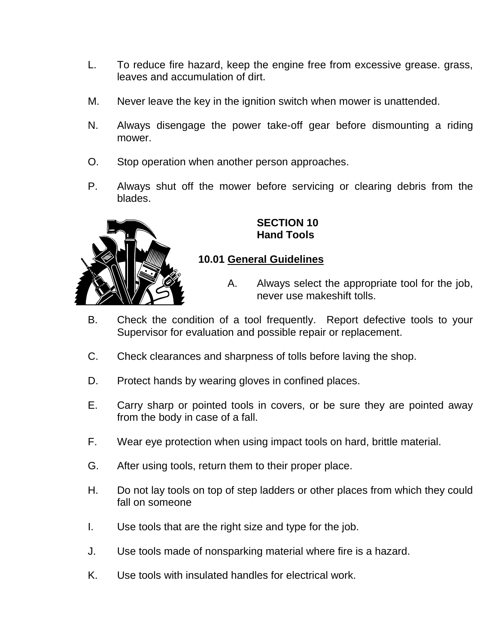- L. To reduce fire hazard, keep the engine free from excessive grease. grass, leaves and accumulation of dirt.
- M. Never leave the key in the ignition switch when mower is unattended.
- N. Always disengage the power take-off gear before dismounting a riding mower.
- O. Stop operation when another person approaches.
- P. Always shut off the mower before servicing or clearing debris from the blades.



**SECTION 10 Hand Tools**

# **10.01 General Guidelines**

- A. Always select the appropriate tool for the job, never use makeshift tolls.
- B. Check the condition of a tool frequently. Report defective tools to your Supervisor for evaluation and possible repair or replacement.
- C. Check clearances and sharpness of tolls before laving the shop.
- D. Protect hands by wearing gloves in confined places.
- E. Carry sharp or pointed tools in covers, or be sure they are pointed away from the body in case of a fall.
- F. Wear eye protection when using impact tools on hard, brittle material.
- G. After using tools, return them to their proper place.
- H. Do not lay tools on top of step ladders or other places from which they could fall on someone
- I. Use tools that are the right size and type for the job.
- J. Use tools made of nonsparking material where fire is a hazard.
- K. Use tools with insulated handles for electrical work.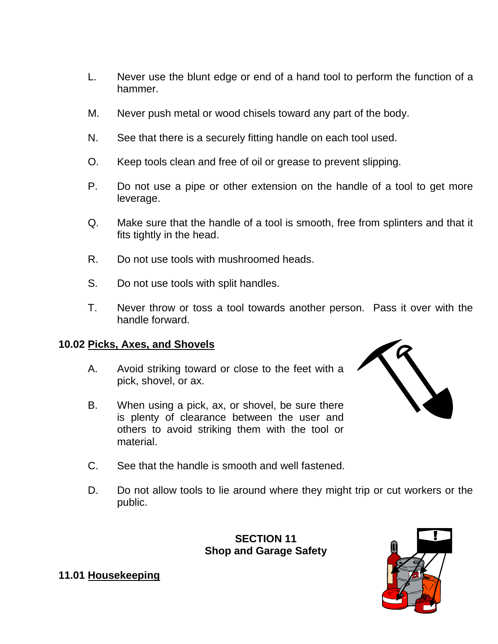- L. Never use the blunt edge or end of a hand tool to perform the function of a hammer.
- M. Never push metal or wood chisels toward any part of the body.
- N. See that there is a securely fitting handle on each tool used.
- O. Keep tools clean and free of oil or grease to prevent slipping.
- P. Do not use a pipe or other extension on the handle of a tool to get more leverage.
- Q. Make sure that the handle of a tool is smooth, free from splinters and that it fits tightly in the head.
- R. Do not use tools with mushroomed heads.
- S. Do not use tools with split handles.
- T. Never throw or toss a tool towards another person. Pass it over with the handle forward.

## **10.02 Picks, Axes, and Shovels**

- A. Avoid striking toward or close to the feet with a pick, shovel, or ax.
- B. When using a pick, ax, or shovel, be sure there is plenty of clearance between the user and others to avoid striking them with the tool or material.



- C. See that the handle is smooth and well fastened.
- D. Do not allow tools to lie around where they might trip or cut workers or the public.

**SECTION 11 Shop and Garage Safety**



#### **11.01 Housekeeping**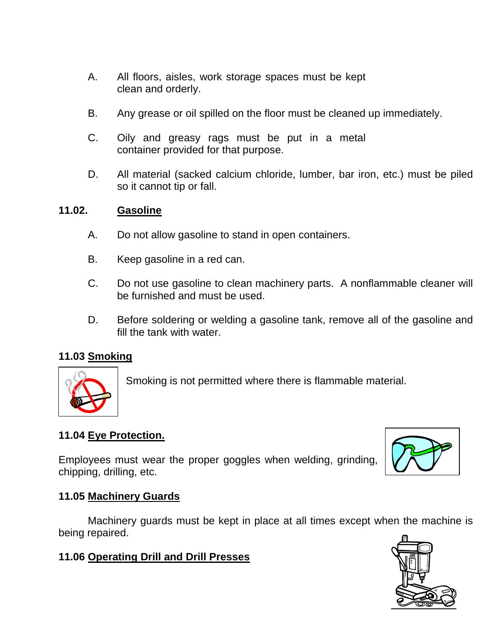- A. All floors, aisles, work storage spaces must be kept clean and orderly.
- B. Any grease or oil spilled on the floor must be cleaned up immediately.
- C. Oily and greasy rags must be put in a metal container provided for that purpose.
- D. All material (sacked calcium chloride, lumber, bar iron, etc.) must be piled so it cannot tip or fall.

#### **11.02. Gasoline**

- A. Do not allow gasoline to stand in open containers.
- B. Keep gasoline in a red can.
- C. Do not use gasoline to clean machinery parts. A nonflammable cleaner will be furnished and must be used.
- D. Before soldering or welding a gasoline tank, remove all of the gasoline and fill the tank with water.

# **11.03 Smoking**



Smoking is not permitted where there is flammable material.

# **11.04 Eye Protection.**

Employees must wear the proper goggles when welding, grinding, chipping, drilling, etc.



# **11.05 Machinery Guards**

Machinery guards must be kept in place at all times except when the machine is being repaired.

# **11.06 Operating Drill and Drill Presses**

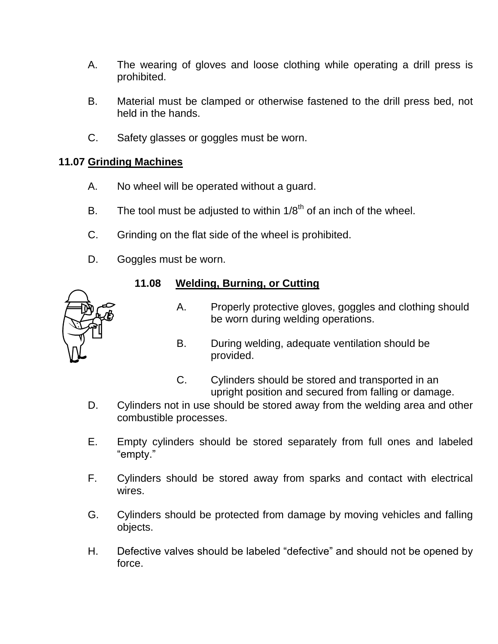- A. The wearing of gloves and loose clothing while operating a drill press is prohibited.
- B. Material must be clamped or otherwise fastened to the drill press bed, not held in the hands.
- C. Safety glasses or goggles must be worn.

# **11.07 Grinding Machines**

- A. No wheel will be operated without a guard.
- B. The tool must be adjusted to within  $1/8<sup>th</sup>$  of an inch of the wheel.
- C. Grinding on the flat side of the wheel is prohibited.
- D. Goggles must be worn.

# **11.08 Welding, Burning, or Cutting**

- A. Properly protective gloves, goggles and clothing should be worn during welding operations.
	- B. During welding, adequate ventilation should be provided.
- C. Cylinders should be stored and transported in an upright position and secured from falling or damage.
- D. Cylinders not in use should be stored away from the welding area and other combustible processes.
- E. Empty cylinders should be stored separately from full ones and labeled "empty."
- F. Cylinders should be stored away from sparks and contact with electrical wires.
- G. Cylinders should be protected from damage by moving vehicles and falling objects.
- H. Defective valves should be labeled "defective" and should not be opened by force.

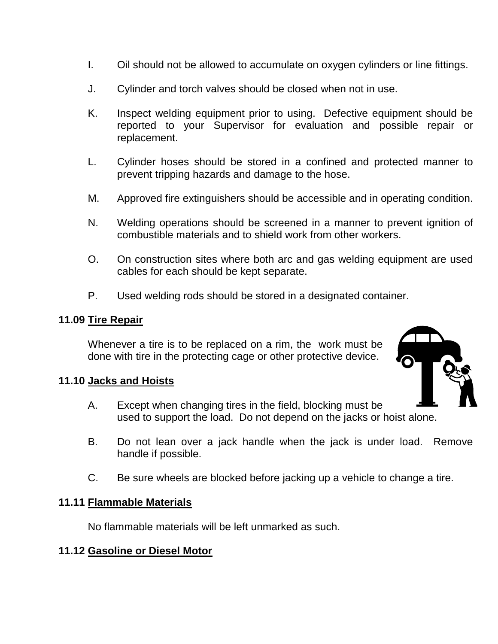- I. Oil should not be allowed to accumulate on oxygen cylinders or line fittings.
- J. Cylinder and torch valves should be closed when not in use.
- K. Inspect welding equipment prior to using. Defective equipment should be reported to your Supervisor for evaluation and possible repair or replacement.
- L. Cylinder hoses should be stored in a confined and protected manner to prevent tripping hazards and damage to the hose.
- M. Approved fire extinguishers should be accessible and in operating condition.
- N. Welding operations should be screened in a manner to prevent ignition of combustible materials and to shield work from other workers.
- O. On construction sites where both arc and gas welding equipment are used cables for each should be kept separate.
- P. Used welding rods should be stored in a designated container.

#### **11.09 Tire Repair**

Whenever a tire is to be replaced on a rim, the work must be done with tire in the protecting cage or other protective device.

#### **11.10 Jacks and Hoists**

- A. Except when changing tires in the field, blocking must be used to support the load. Do not depend on the jacks or hoist alone.
- B. Do not lean over a jack handle when the jack is under load. Remove handle if possible.
- C. Be sure wheels are blocked before jacking up a vehicle to change a tire.

#### **11.11 Flammable Materials**

No flammable materials will be left unmarked as such.

#### **11.12 Gasoline or Diesel Motor**

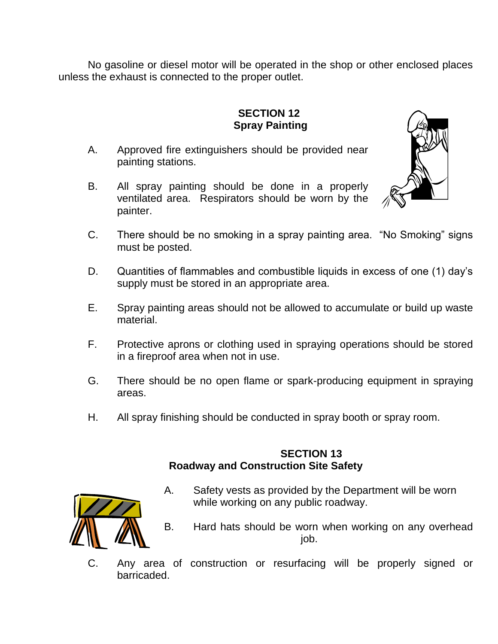No gasoline or diesel motor will be operated in the shop or other enclosed places unless the exhaust is connected to the proper outlet.

# **SECTION 12 Spray Painting**

- A. Approved fire extinguishers should be provided near painting stations.
- B. All spray painting should be done in a properly ventilated area. Respirators should be worn by the painter.



- C. There should be no smoking in a spray painting area. "No Smoking" signs must be posted.
- D. Quantities of flammables and combustible liquids in excess of one (1) day's supply must be stored in an appropriate area.
- E. Spray painting areas should not be allowed to accumulate or build up waste material.
- F. Protective aprons or clothing used in spraying operations should be stored in a fireproof area when not in use.
- G. There should be no open flame or spark-producing equipment in spraying areas.
- H. All spray finishing should be conducted in spray booth or spray room.

#### **SECTION 13 Roadway and Construction Site Safety**



- A. Safety vests as provided by the Department will be worn while working on any public roadway.
- B. Hard hats should be worn when working on any overhead job.
- C. Any area of construction or resurfacing will be properly signed or barricaded.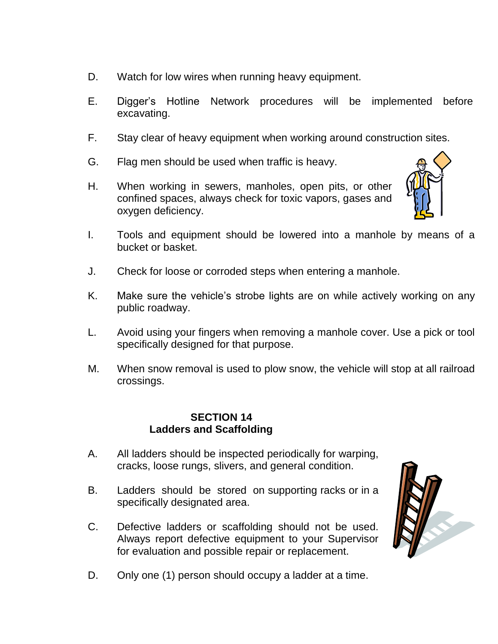- D. Watch for low wires when running heavy equipment.
- E. Digger's Hotline Network procedures will be implemented before excavating.
- F. Stay clear of heavy equipment when working around construction sites.
- G. Flag men should be used when traffic is heavy.
- H. When working in sewers, manholes, open pits, or other confined spaces, always check for toxic vapors, gases and oxygen deficiency.
- I. Tools and equipment should be lowered into a manhole by means of a bucket or basket.
- J. Check for loose or corroded steps when entering a manhole.
- K. Make sure the vehicle's strobe lights are on while actively working on any public roadway.
- L. Avoid using your fingers when removing a manhole cover. Use a pick or tool specifically designed for that purpose.
- M. When snow removal is used to plow snow, the vehicle will stop at all railroad crossings.

#### **SECTION 14 Ladders and Scaffolding**

- A. All ladders should be inspected periodically for warping, cracks, loose rungs, slivers, and general condition.
- B. Ladders should be stored on supporting racks or in a specifically designated area.
- C. Defective ladders or scaffolding should not be used. Always report defective equipment to your Supervisor for evaluation and possible repair or replacement.



D. Only one (1) person should occupy a ladder at a time.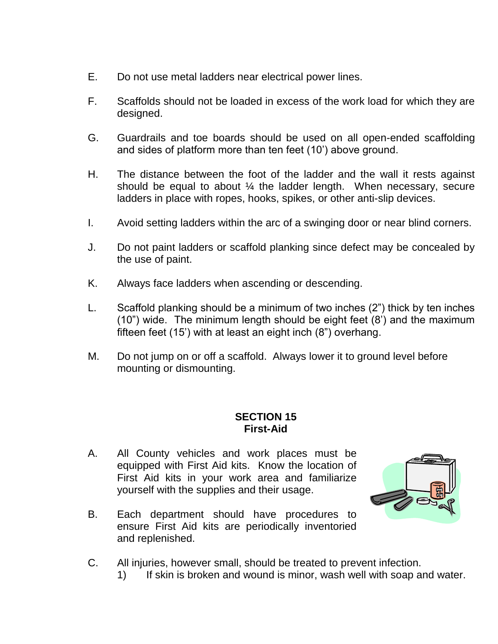- E. Do not use metal ladders near electrical power lines.
- F. Scaffolds should not be loaded in excess of the work load for which they are designed.
- G. Guardrails and toe boards should be used on all open-ended scaffolding and sides of platform more than ten feet (10') above ground.
- H. The distance between the foot of the ladder and the wall it rests against should be equal to about ¼ the ladder length. When necessary, secure ladders in place with ropes, hooks, spikes, or other anti-slip devices.
- I. Avoid setting ladders within the arc of a swinging door or near blind corners.
- J. Do not paint ladders or scaffold planking since defect may be concealed by the use of paint.
- K. Always face ladders when ascending or descending.
- L. Scaffold planking should be a minimum of two inches (2") thick by ten inches (10") wide. The minimum length should be eight feet (8') and the maximum fifteen feet (15') with at least an eight inch (8") overhang.
- M. Do not jump on or off a scaffold. Always lower it to ground level before mounting or dismounting.

#### **SECTION 15 First-Aid**

A. All County vehicles and work places must be equipped with First Aid kits. Know the location of First Aid kits in your work area and familiarize yourself with the supplies and their usage.



- B. Each department should have procedures to ensure First Aid kits are periodically inventoried and replenished.
- C. All injuries, however small, should be treated to prevent infection.
	- 1) If skin is broken and wound is minor, wash well with soap and water.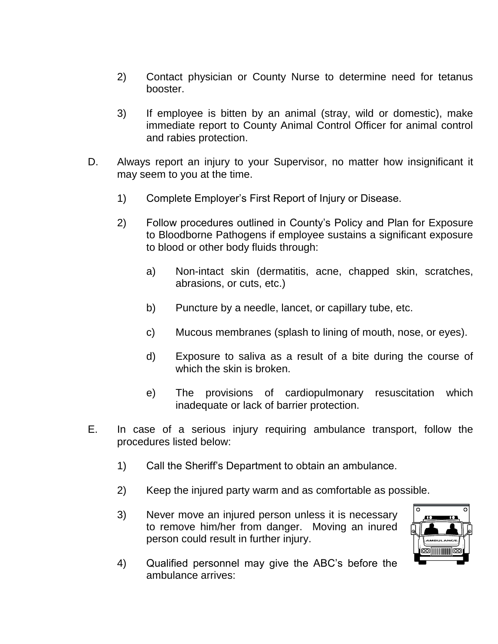- 2) Contact physician or County Nurse to determine need for tetanus booster.
- 3) If employee is bitten by an animal (stray, wild or domestic), make immediate report to County Animal Control Officer for animal control and rabies protection.
- D. Always report an injury to your Supervisor, no matter how insignificant it may seem to you at the time.
	- 1) Complete Employer's First Report of Injury or Disease.
	- 2) Follow procedures outlined in County's Policy and Plan for Exposure to Bloodborne Pathogens if employee sustains a significant exposure to blood or other body fluids through:
		- a) Non-intact skin (dermatitis, acne, chapped skin, scratches, abrasions, or cuts, etc.)
		- b) Puncture by a needle, lancet, or capillary tube, etc.
		- c) Mucous membranes (splash to lining of mouth, nose, or eyes).
		- d) Exposure to saliva as a result of a bite during the course of which the skin is broken.
		- e) The provisions of cardiopulmonary resuscitation which inadequate or lack of barrier protection.
- E. In case of a serious injury requiring ambulance transport, follow the procedures listed below:
	- 1) Call the Sheriff's Department to obtain an ambulance.
	- 2) Keep the injured party warm and as comfortable as possible.
	- 3) Never move an injured person unless it is necessary to remove him/her from danger. Moving an inured person could result in further injury.



4) Qualified personnel may give the ABC's before the ambulance arrives: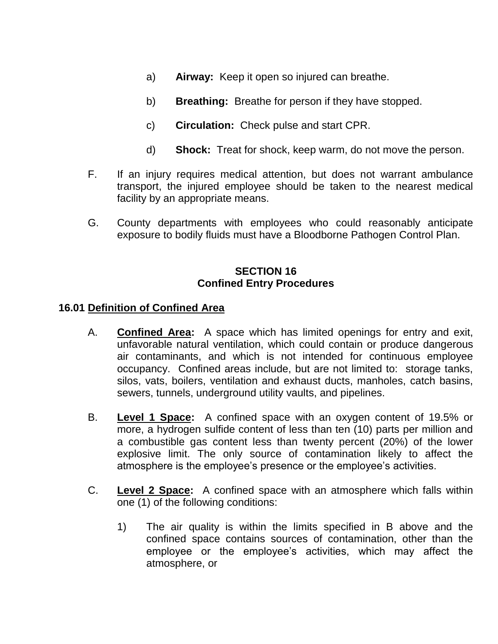- a) **Airway:** Keep it open so injured can breathe.
- b) **Breathing:** Breathe for person if they have stopped.
- c) **Circulation:** Check pulse and start CPR.
- d) **Shock:** Treat for shock, keep warm, do not move the person.
- F. If an injury requires medical attention, but does not warrant ambulance transport, the injured employee should be taken to the nearest medical facility by an appropriate means.
- G. County departments with employees who could reasonably anticipate exposure to bodily fluids must have a Bloodborne Pathogen Control Plan.

## **SECTION 16 Confined Entry Procedures**

#### **16.01 Definition of Confined Area**

- A. **Confined Area:** A space which has limited openings for entry and exit, unfavorable natural ventilation, which could contain or produce dangerous air contaminants, and which is not intended for continuous employee occupancy. Confined areas include, but are not limited to: storage tanks, silos, vats, boilers, ventilation and exhaust ducts, manholes, catch basins, sewers, tunnels, underground utility vaults, and pipelines.
- B. **Level 1 Space:** A confined space with an oxygen content of 19.5% or more, a hydrogen sulfide content of less than ten (10) parts per million and a combustible gas content less than twenty percent (20%) of the lower explosive limit. The only source of contamination likely to affect the atmosphere is the employee's presence or the employee's activities.
- C. **Level 2 Space:** A confined space with an atmosphere which falls within one (1) of the following conditions:
	- 1) The air quality is within the limits specified in B above and the confined space contains sources of contamination, other than the employee or the employee's activities, which may affect the atmosphere, or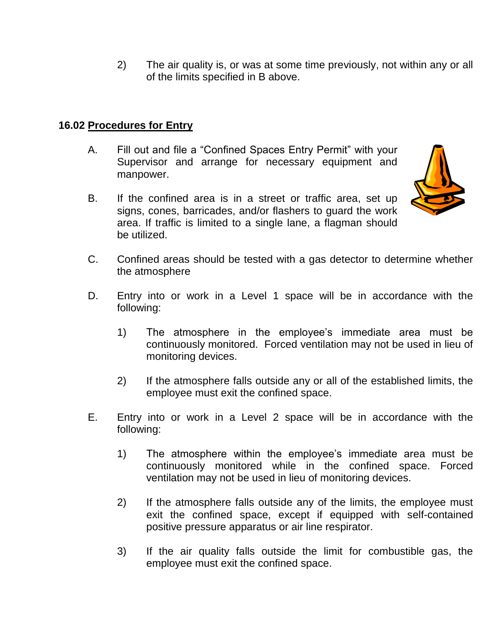2) The air quality is, or was at some time previously, not within any or all of the limits specified in B above.

## **16.02 Procedures for Entry**

- A. Fill out and file a "Confined Spaces Entry Permit" with your Supervisor and arrange for necessary equipment and manpower.
- B. If the confined area is in a street or traffic area, set up signs, cones, barricades, and/or flashers to guard the work area. If traffic is limited to a single lane, a flagman should be utilized.



- C. Confined areas should be tested with a gas detector to determine whether the atmosphere
- D. Entry into or work in a Level 1 space will be in accordance with the following:
	- 1) The atmosphere in the employee's immediate area must be continuously monitored. Forced ventilation may not be used in lieu of monitoring devices.
	- 2) If the atmosphere falls outside any or all of the established limits, the employee must exit the confined space.
- E. Entry into or work in a Level 2 space will be in accordance with the following:
	- 1) The atmosphere within the employee's immediate area must be continuously monitored while in the confined space. Forced ventilation may not be used in lieu of monitoring devices.
	- 2) If the atmosphere falls outside any of the limits, the employee must exit the confined space, except if equipped with self-contained positive pressure apparatus or air line respirator.
	- 3) If the air quality falls outside the limit for combustible gas, the employee must exit the confined space.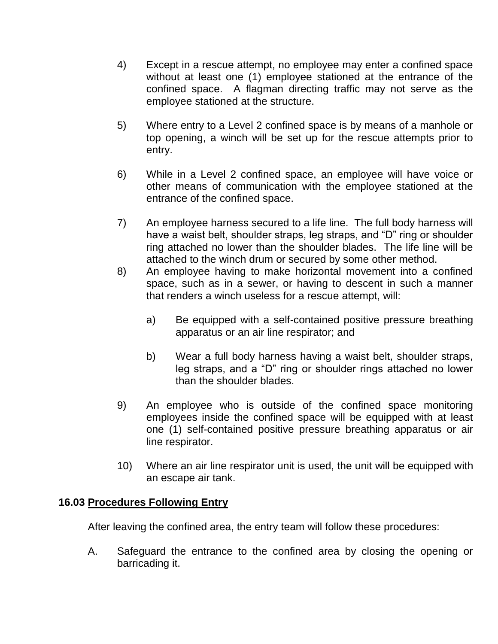- 4) Except in a rescue attempt, no employee may enter a confined space without at least one (1) employee stationed at the entrance of the confined space. A flagman directing traffic may not serve as the employee stationed at the structure.
- 5) Where entry to a Level 2 confined space is by means of a manhole or top opening, a winch will be set up for the rescue attempts prior to entry.
- 6) While in a Level 2 confined space, an employee will have voice or other means of communication with the employee stationed at the entrance of the confined space.
- 7) An employee harness secured to a life line. The full body harness will have a waist belt, shoulder straps, leg straps, and "D" ring or shoulder ring attached no lower than the shoulder blades. The life line will be attached to the winch drum or secured by some other method.
- 8) An employee having to make horizontal movement into a confined space, such as in a sewer, or having to descent in such a manner that renders a winch useless for a rescue attempt, will:
	- a) Be equipped with a self-contained positive pressure breathing apparatus or an air line respirator; and
	- b) Wear a full body harness having a waist belt, shoulder straps, leg straps, and a "D" ring or shoulder rings attached no lower than the shoulder blades.
- 9) An employee who is outside of the confined space monitoring employees inside the confined space will be equipped with at least one (1) self-contained positive pressure breathing apparatus or air line respirator.
- 10) Where an air line respirator unit is used, the unit will be equipped with an escape air tank.

# **16.03 Procedures Following Entry**

After leaving the confined area, the entry team will follow these procedures:

A. Safeguard the entrance to the confined area by closing the opening or barricading it.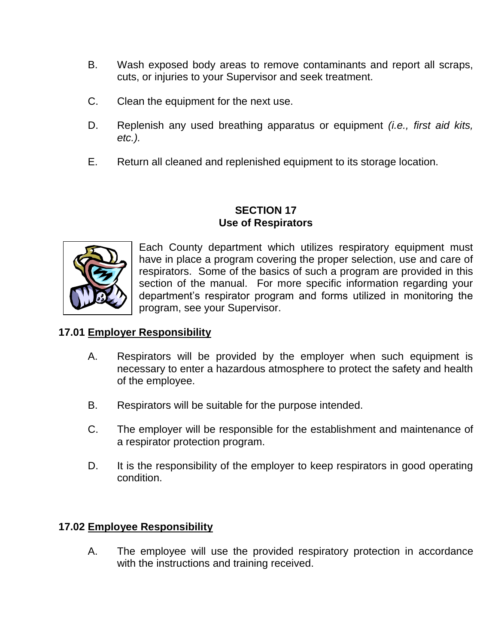- B. Wash exposed body areas to remove contaminants and report all scraps, cuts, or injuries to your Supervisor and seek treatment.
- C. Clean the equipment for the next use.
- D. Replenish any used breathing apparatus or equipment *(i.e., first aid kits, etc.).*
- E. Return all cleaned and replenished equipment to its storage location.

#### **SECTION 17 Use of Respirators**



Each County department which utilizes respiratory equipment must have in place a program covering the proper selection, use and care of respirators. Some of the basics of such a program are provided in this section of the manual. For more specific information regarding your department's respirator program and forms utilized in monitoring the program, see your Supervisor.

# **17.01 Employer Responsibility**

- A. Respirators will be provided by the employer when such equipment is necessary to enter a hazardous atmosphere to protect the safety and health of the employee.
- B. Respirators will be suitable for the purpose intended.
- C. The employer will be responsible for the establishment and maintenance of a respirator protection program.
- D. It is the responsibility of the employer to keep respirators in good operating condition.

# **17.02 Employee Responsibility**

A. The employee will use the provided respiratory protection in accordance with the instructions and training received.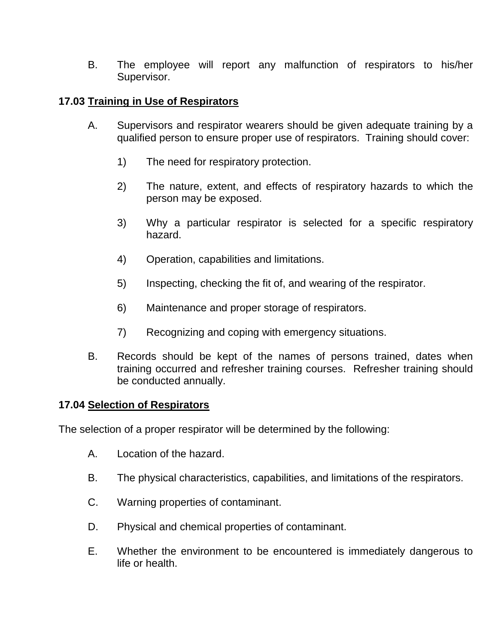B. The employee will report any malfunction of respirators to his/her Supervisor.

# **17.03 Training in Use of Respirators**

- A. Supervisors and respirator wearers should be given adequate training by a qualified person to ensure proper use of respirators. Training should cover:
	- 1) The need for respiratory protection.
	- 2) The nature, extent, and effects of respiratory hazards to which the person may be exposed.
	- 3) Why a particular respirator is selected for a specific respiratory hazard.
	- 4) Operation, capabilities and limitations.
	- 5) Inspecting, checking the fit of, and wearing of the respirator.
	- 6) Maintenance and proper storage of respirators.
	- 7) Recognizing and coping with emergency situations.
- B. Records should be kept of the names of persons trained, dates when training occurred and refresher training courses. Refresher training should be conducted annually.

#### **17.04 Selection of Respirators**

The selection of a proper respirator will be determined by the following:

- A. Location of the hazard.
- B. The physical characteristics, capabilities, and limitations of the respirators.
- C. Warning properties of contaminant.
- D. Physical and chemical properties of contaminant.
- E. Whether the environment to be encountered is immediately dangerous to life or health.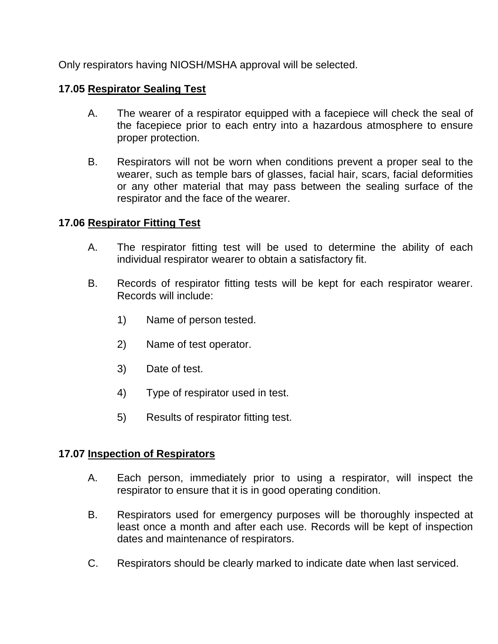Only respirators having NIOSH/MSHA approval will be selected.

## **17.05 Respirator Sealing Test**

- A. The wearer of a respirator equipped with a facepiece will check the seal of the facepiece prior to each entry into a hazardous atmosphere to ensure proper protection.
- B. Respirators will not be worn when conditions prevent a proper seal to the wearer, such as temple bars of glasses, facial hair, scars, facial deformities or any other material that may pass between the sealing surface of the respirator and the face of the wearer.

#### **17.06 Respirator Fitting Test**

- A. The respirator fitting test will be used to determine the ability of each individual respirator wearer to obtain a satisfactory fit.
- B. Records of respirator fitting tests will be kept for each respirator wearer. Records will include:
	- 1) Name of person tested.
	- 2) Name of test operator.
	- 3) Date of test.
	- 4) Type of respirator used in test.
	- 5) Results of respirator fitting test.

#### **17.07 Inspection of Respirators**

- A. Each person, immediately prior to using a respirator, will inspect the respirator to ensure that it is in good operating condition.
- B. Respirators used for emergency purposes will be thoroughly inspected at least once a month and after each use. Records will be kept of inspection dates and maintenance of respirators.
- C. Respirators should be clearly marked to indicate date when last serviced.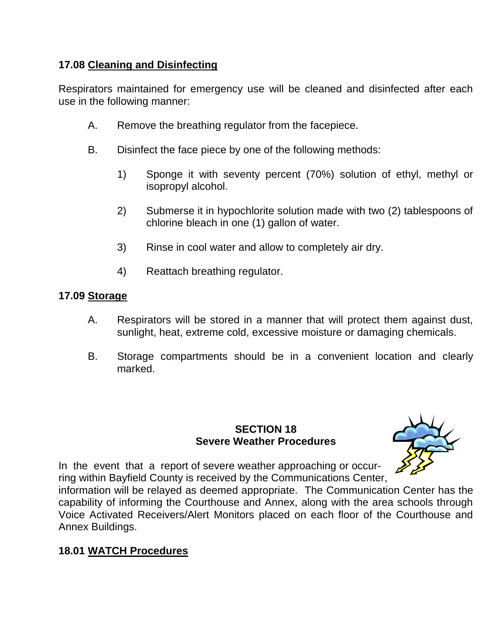# **17.08 Cleaning and Disinfecting**

Respirators maintained for emergency use will be cleaned and disinfected after each use in the following manner:

- A. Remove the breathing regulator from the facepiece.
- B. Disinfect the face piece by one of the following methods:
	- 1) Sponge it with seventy percent (70%) solution of ethyl, methyl or isopropyl alcohol.
	- 2) Submerse it in hypochlorite solution made with two (2) tablespoons of chlorine bleach in one (1) gallon of water.
	- 3) Rinse in cool water and allow to completely air dry.
	- 4) Reattach breathing regulator.

# **17.09 Storage**

- A. Respirators will be stored in a manner that will protect them against dust, sunlight, heat, extreme cold, excessive moisture or damaging chemicals.
- B. Storage compartments should be in a convenient location and clearly marked.

# **SECTION 18 Severe Weather Procedures**



In the event that a report of severe weather approaching or occurring within Bayfield County is received by the Communications Center,

information will be relayed as deemed appropriate. The Communication Center has the capability of informing the Courthouse and Annex, along with the area schools through Voice Activated Receivers/Alert Monitors placed on each floor of the Courthouse and Annex Buildings.

# **18.01 WATCH Procedures**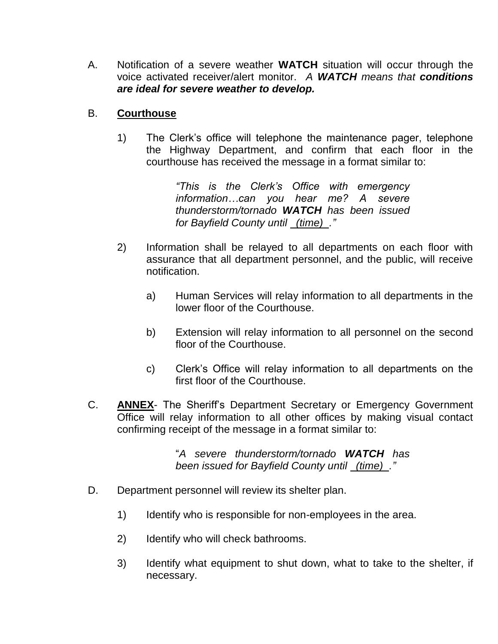A. Notification of a severe weather **WATCH** situation will occur through the voice activated receiver/alert monitor. *A WATCH means that conditions are ideal for severe weather to develop.*

# B. **Courthouse**

1) The Clerk's office will telephone the maintenance pager, telephone the Highway Department, and confirm that each floor in the courthouse has received the message in a format similar to:

> *"This is the Clerk's Office with emergency information…can you hear me? A severe thunderstorm/tornado WATCH has been issued for Bayfield County until (time) ."*

- 2) Information shall be relayed to all departments on each floor with assurance that all department personnel, and the public, will receive notification.
	- a) Human Services will relay information to all departments in the lower floor of the Courthouse.
	- b) Extension will relay information to all personnel on the second floor of the Courthouse.
	- c) Clerk's Office will relay information to all departments on the first floor of the Courthouse.
- C. **ANNEX** The Sheriff's Department Secretary or Emergency Government Office will relay information to all other offices by making visual contact confirming receipt of the message in a format similar to:

"*A severe thunderstorm/tornado WATCH has been issued for Bayfield County until (time) ."*

- D. Department personnel will review its shelter plan.
	- 1) Identify who is responsible for non-employees in the area.
	- 2) Identify who will check bathrooms.
	- 3) Identify what equipment to shut down, what to take to the shelter, if necessary.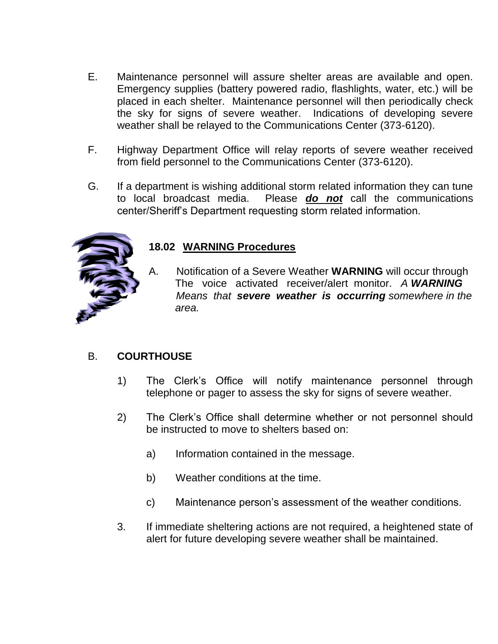- E. Maintenance personnel will assure shelter areas are available and open. Emergency supplies (battery powered radio, flashlights, water, etc.) will be placed in each shelter. Maintenance personnel will then periodically check the sky for signs of severe weather. Indications of developing severe weather shall be relayed to the Communications Center (373-6120).
- F. Highway Department Office will relay reports of severe weather received from field personnel to the Communications Center (373-6120).
- G. If a department is wishing additional storm related information they can tune to local broadcast media. Please *do not* call the communications center/Sheriff's Department requesting storm related information.



# **18.02 WARNING Procedures**

A. Notification of a Severe Weather **WARNING** will occur through The voice activated receiver/alert monitor. *A WARNING Means that severe weather is occurring somewhere in the area.* 

# B. **COURTHOUSE**

- 1) The Clerk's Office will notify maintenance personnel through telephone or pager to assess the sky for signs of severe weather.
- 2) The Clerk's Office shall determine whether or not personnel should be instructed to move to shelters based on:
	- a) Information contained in the message.
	- b) Weather conditions at the time.
	- c) Maintenance person's assessment of the weather conditions.
- 3. If immediate sheltering actions are not required, a heightened state of alert for future developing severe weather shall be maintained.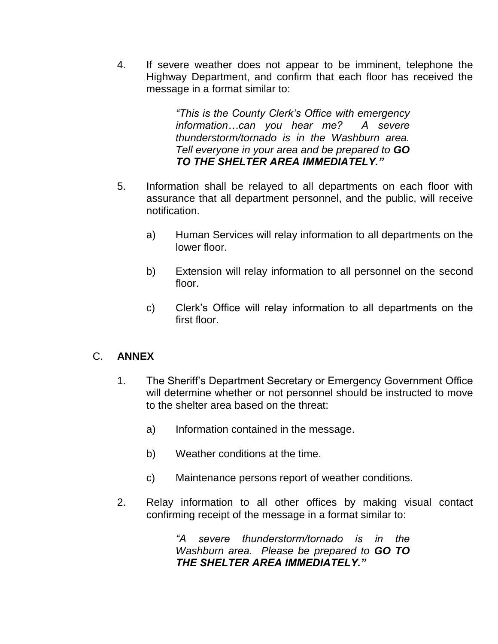4. If severe weather does not appear to be imminent, telephone the Highway Department, and confirm that each floor has received the message in a format similar to:

> *"This is the County Clerk's Office with emergency information…can you hear me? A severe thunderstorm/tornado is in the Washburn area. Tell everyone in your area and be prepared to GO TO THE SHELTER AREA IMMEDIATELY."*

- 5. Information shall be relayed to all departments on each floor with assurance that all department personnel, and the public, will receive notification.
	- a) Human Services will relay information to all departments on the lower floor.
	- b) Extension will relay information to all personnel on the second floor.
	- c) Clerk's Office will relay information to all departments on the first floor.

# C. **ANNEX**

- 1. The Sheriff's Department Secretary or Emergency Government Office will determine whether or not personnel should be instructed to move to the shelter area based on the threat:
	- a) Information contained in the message.
	- b) Weather conditions at the time.
	- c) Maintenance persons report of weather conditions.
- 2. Relay information to all other offices by making visual contact confirming receipt of the message in a format similar to:

*"A severe thunderstorm/tornado is in the Washburn area. Please be prepared to GO TO THE SHELTER AREA IMMEDIATELY."*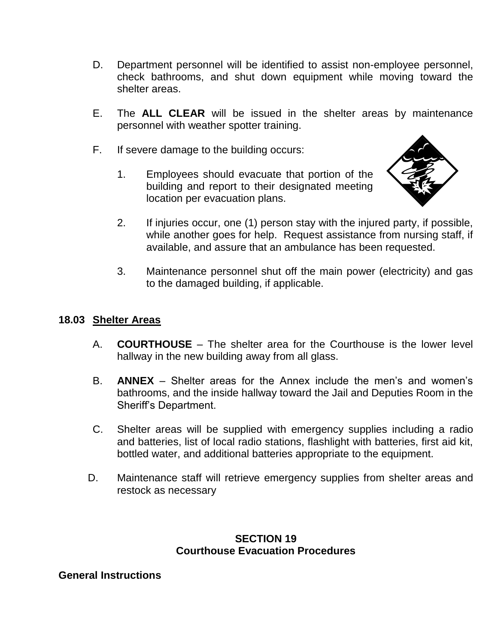- D. Department personnel will be identified to assist non-employee personnel, check bathrooms, and shut down equipment while moving toward the shelter areas.
- E. The **ALL CLEAR** will be issued in the shelter areas by maintenance personnel with weather spotter training.
- F. If severe damage to the building occurs:
	- 1. Employees should evacuate that portion of the building and report to their designated meeting location per evacuation plans.



- 2. If injuries occur, one (1) person stay with the injured party, if possible, while another goes for help. Request assistance from nursing staff, if available, and assure that an ambulance has been requested.
- 3. Maintenance personnel shut off the main power (electricity) and gas to the damaged building, if applicable.

#### **18.03 Shelter Areas**

- A. **COURTHOUSE** The shelter area for the Courthouse is the lower level hallway in the new building away from all glass.
- B. **ANNEX** Shelter areas for the Annex include the men's and women's bathrooms, and the inside hallway toward the Jail and Deputies Room in the Sheriff's Department.
- C. Shelter areas will be supplied with emergency supplies including a radio and batteries, list of local radio stations, flashlight with batteries, first aid kit, bottled water, and additional batteries appropriate to the equipment.
- D. Maintenance staff will retrieve emergency supplies from shelter areas and restock as necessary

#### **SECTION 19 Courthouse Evacuation Procedures**

#### **General Instructions**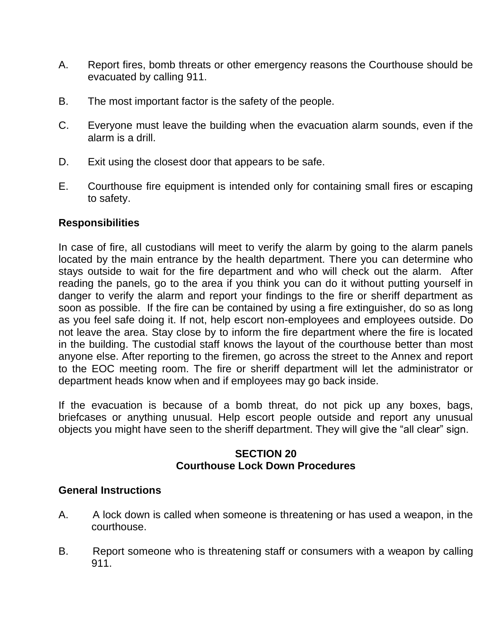- A. Report fires, bomb threats or other emergency reasons the Courthouse should be evacuated by calling 911.
- B. The most important factor is the safety of the people.
- C. Everyone must leave the building when the evacuation alarm sounds, even if the alarm is a drill.
- D. Exit using the closest door that appears to be safe.
- E. Courthouse fire equipment is intended only for containing small fires or escaping to safety.

# **Responsibilities**

In case of fire, all custodians will meet to verify the alarm by going to the alarm panels located by the main entrance by the health department. There you can determine who stays outside to wait for the fire department and who will check out the alarm. After reading the panels, go to the area if you think you can do it without putting yourself in danger to verify the alarm and report your findings to the fire or sheriff department as soon as possible. If the fire can be contained by using a fire extinguisher, do so as long as you feel safe doing it. If not, help escort non-employees and employees outside. Do not leave the area. Stay close by to inform the fire department where the fire is located in the building. The custodial staff knows the layout of the courthouse better than most anyone else. After reporting to the firemen, go across the street to the Annex and report to the EOC meeting room. The fire or sheriff department will let the administrator or department heads know when and if employees may go back inside.

If the evacuation is because of a bomb threat, do not pick up any boxes, bags, briefcases or anything unusual. Help escort people outside and report any unusual objects you might have seen to the sheriff department. They will give the "all clear" sign.

## **SECTION 20 Courthouse Lock Down Procedures**

#### **General Instructions**

- A. A lock down is called when someone is threatening or has used a weapon, in the courthouse.
- B. Report someone who is threatening staff or consumers with a weapon by calling 911.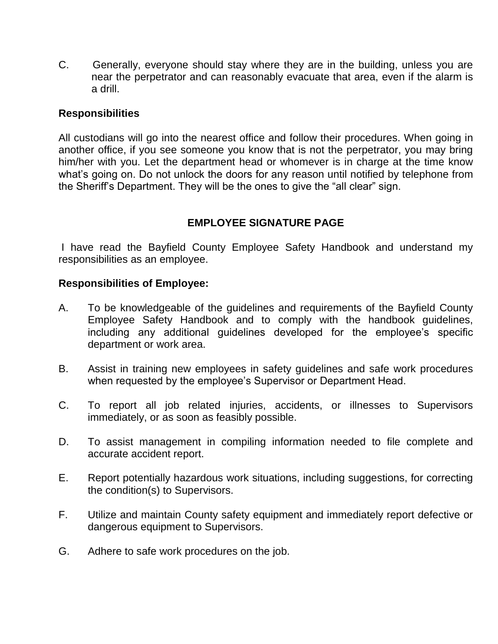C. Generally, everyone should stay where they are in the building, unless you are near the perpetrator and can reasonably evacuate that area, even if the alarm is a drill.

#### **Responsibilities**

All custodians will go into the nearest office and follow their procedures. When going in another office, if you see someone you know that is not the perpetrator, you may bring him/her with you. Let the department head or whomever is in charge at the time know what's going on. Do not unlock the doors for any reason until notified by telephone from the Sheriff's Department. They will be the ones to give the "all clear" sign.

# **EMPLOYEE SIGNATURE PAGE**

I have read the Bayfield County Employee Safety Handbook and understand my responsibilities as an employee.

#### **Responsibilities of Employee:**

- A. To be knowledgeable of the guidelines and requirements of the Bayfield County Employee Safety Handbook and to comply with the handbook guidelines, including any additional guidelines developed for the employee's specific department or work area.
- B. Assist in training new employees in safety guidelines and safe work procedures when requested by the employee's Supervisor or Department Head.
- C. To report all job related injuries, accidents, or illnesses to Supervisors immediately, or as soon as feasibly possible.
- D. To assist management in compiling information needed to file complete and accurate accident report.
- E. Report potentially hazardous work situations, including suggestions, for correcting the condition(s) to Supervisors.
- F. Utilize and maintain County safety equipment and immediately report defective or dangerous equipment to Supervisors.
- G. Adhere to safe work procedures on the job.